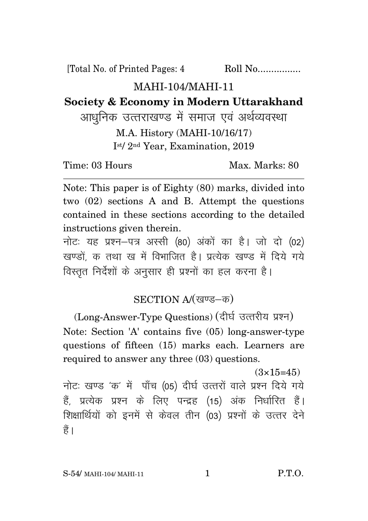[Total No. of Printed Pages: 4 Roll No.................

## MAHI-104/MAHI-11

**Society & Economy in Modern Uttarakhand**

आधनिक उत्तराखण्ड में समाज एवं अर्थव्यवस्था M.A. History (MAHI-10/16/17) I st/ 2nd Year, Examination, 2019

Time: 03 Hours Max. Marks: 80

Note: This paper is of Eighty (80) marks, divided into two (02) sections A and B. Attempt the questions contained in these sections according to the detailed instructions given therein.

नोट: यह प्रश्न-पत्र अस्सी (80) अंकों का है। जो दो (02) खण्डों क तथा ख में विभाजित है। प्रत्येक खण्ड में दिये गये विस्तृत निर्देशों के अनुसार ही प्रश्नों का हल करना है।

SECTION A/(खण्ड-क)

(Long-Answer-Type Questions) (दीर्घ उत्तरीय प्रश्न) Note: Section 'A' contains five (05) long-answer-type questions of fifteen (15) marks each. Learners are required to answer any three (03) questions.

 $(3\times15=45)$ नोट: खण्ड 'क' में पाँच (05) दीर्घ उत्तरों वाले प्रश्न दिये गये हैं, प्रत्येक प्रश्न के लिए पन्द्रह (15) अंक निर्धारित हैं। शिक्षार्थियों को इनमें से केवल तीन (03) प्रश्नों के उत्तर देने हैं।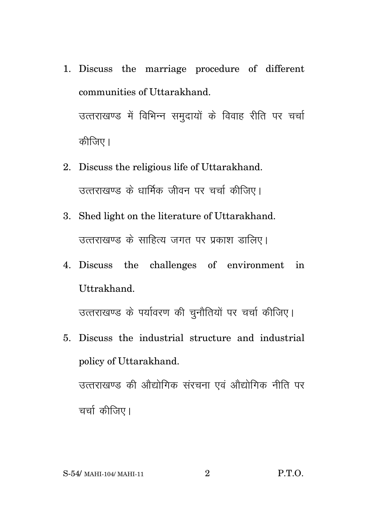- 1. Discuss the marriage procedure of different communities of Uttarakhand. उत्तराखण्ड में विभिन्न समुदायों के विवाह रीति पर चर्चा कीजिए।
- 2. Discuss the religious life of Uttarakhand. उत्तराखण्ड के धार्मिक जीवन पर चर्चा कीजिए।
- 3. Shed light on the literature of Uttarakhand. उत्तराखण्ड के साहित्य जगत पर प्रकाश डालिए।
- 4. Discuss the challenges of environment in Uttrakhand.

उत्तराखण्ड के पर्यावरण की चुनौतियों पर चर्चा कीजिए।

5. Discuss the industrial structure and industrial policy of Uttarakhand. उत्तराखण्ड की ओद्योगिक संरचना एवं ओद्योगिक नीति पर

चर्चा कीजिए।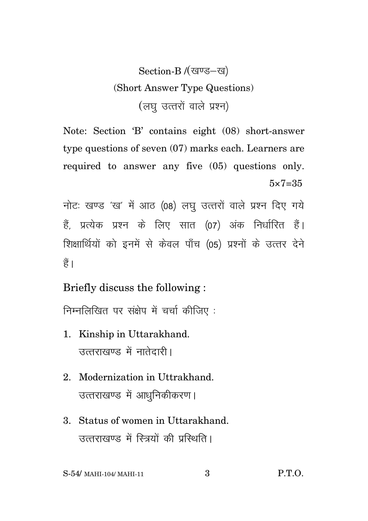## Section-B /(खण्ड-ख) (Short Answer Type Questions) (लघु उत्तरों वाले प्रश्न)

Note: Section 'B' contains eight (08) short-answer type questions of seven (07) marks each. Learners are required to answer any five (05) questions only.  $5 \times 7 = 35$ 

नोटः खण्ड 'ख' में आठ (08) लघु उत्तरों वाले प्रश्न दिए गये हैं. प्रत्येक प्रश्न के लिए सात (07) अंक निर्धारित हैं। शिक्षार्थियों को इनमें से केवल पाँच (05) प्रश्नों के उत्तर देने  $\frac{4}{5}$ 

Briefly discuss the following :

निम्नलिखित पर संक्षेप में चर्चा कीजिए:

- 1. Kinship in Uttarakhand. उत्तराखण्ड में नातेदारी।
- 2. Modernization in Uttrakhand. उत्तराखण्ड में आधुनिकीकरण।
- 3. Status of women in Uttarakhand. उत्तराखण्ड में रित्रयों की परिशति।